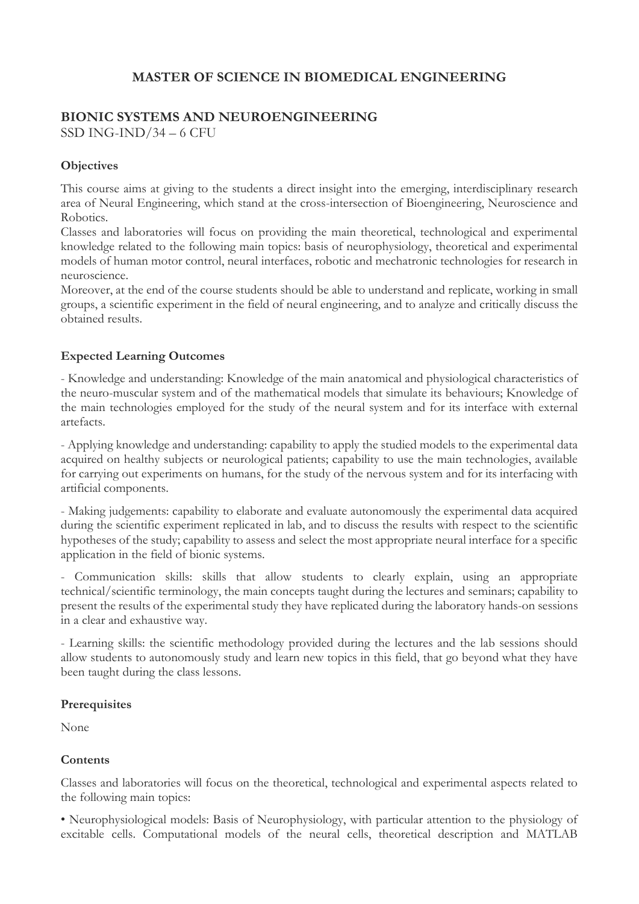## **MASTER OF SCIENCE IN BIOMEDICAL ENGINEERING**

# **BIONIC SYSTEMS AND NEUROENGINEERING**

SSD ING-IND/34 – 6 CFU

## **Objectives**

This course aims at giving to the students a direct insight into the emerging, interdisciplinary research area of Neural Engineering, which stand at the cross-intersection of Bioengineering, Neuroscience and Robotics.

Classes and laboratories will focus on providing the main theoretical, technological and experimental knowledge related to the following main topics: basis of neurophysiology, theoretical and experimental models of human motor control, neural interfaces, robotic and mechatronic technologies for research in neuroscience.

Moreover, at the end of the course students should be able to understand and replicate, working in small groups, a scientific experiment in the field of neural engineering, and to analyze and critically discuss the obtained results.

#### **Expected Learning Outcomes**

- Knowledge and understanding: Knowledge of the main anatomical and physiological characteristics of the neuro-muscular system and of the mathematical models that simulate its behaviours; Knowledge of the main technologies employed for the study of the neural system and for its interface with external artefacts.

- Applying knowledge and understanding: capability to apply the studied models to the experimental data acquired on healthy subjects or neurological patients; capability to use the main technologies, available for carrying out experiments on humans, for the study of the nervous system and for its interfacing with artificial components.

- Making judgements: capability to elaborate and evaluate autonomously the experimental data acquired during the scientific experiment replicated in lab, and to discuss the results with respect to the scientific hypotheses of the study; capability to assess and select the most appropriate neural interface for a specific application in the field of bionic systems.

- Communication skills: skills that allow students to clearly explain, using an appropriate technical/scientific terminology, the main concepts taught during the lectures and seminars; capability to present the results of the experimental study they have replicated during the laboratory hands-on sessions in a clear and exhaustive way.

- Learning skills: the scientific methodology provided during the lectures and the lab sessions should allow students to autonomously study and learn new topics in this field, that go beyond what they have been taught during the class lessons.

## **Prerequisites**

None

## **Contents**

Classes and laboratories will focus on the theoretical, technological and experimental aspects related to the following main topics:

• Neurophysiological models: Basis of Neurophysiology, with particular attention to the physiology of excitable cells. Computational models of the neural cells, theoretical description and MATLAB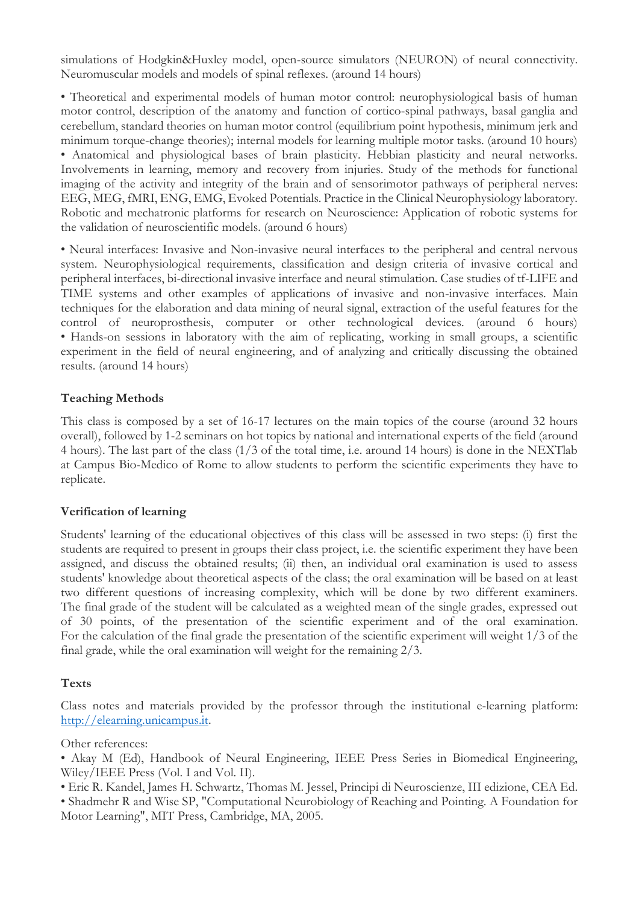simulations of Hodgkin&Huxley model, open-source simulators (NEURON) of neural connectivity. Neuromuscular models and models of spinal reflexes. (around 14 hours)

• Theoretical and experimental models of human motor control: neurophysiological basis of human motor control, description of the anatomy and function of cortico-spinal pathways, basal ganglia and cerebellum, standard theories on human motor control (equilibrium point hypothesis, minimum jerk and minimum torque-change theories); internal models for learning multiple motor tasks. (around 10 hours) • Anatomical and physiological bases of brain plasticity. Hebbian plasticity and neural networks. Involvements in learning, memory and recovery from injuries. Study of the methods for functional imaging of the activity and integrity of the brain and of sensorimotor pathways of peripheral nerves: EEG, MEG, fMRI, ENG, EMG, Evoked Potentials. Practice in the Clinical Neurophysiology laboratory. Robotic and mechatronic platforms for research on Neuroscience: Application of robotic systems for the validation of neuroscientific models. (around 6 hours)

• Neural interfaces: Invasive and Non-invasive neural interfaces to the peripheral and central nervous system. Neurophysiological requirements, classification and design criteria of invasive cortical and peripheral interfaces, bi-directional invasive interface and neural stimulation. Case studies of tf-LIFE and TIME systems and other examples of applications of invasive and non-invasive interfaces. Main techniques for the elaboration and data mining of neural signal, extraction of the useful features for the control of neuroprosthesis, computer or other technological devices. (around 6 hours) • Hands-on sessions in laboratory with the aim of replicating, working in small groups, a scientific experiment in the field of neural engineering, and of analyzing and critically discussing the obtained results. (around 14 hours)

#### **Teaching Methods**

This class is composed by a set of 16-17 lectures on the main topics of the course (around 32 hours overall), followed by 1-2 seminars on hot topics by national and international experts of the field (around 4 hours). The last part of the class (1/3 of the total time, i.e. around 14 hours) is done in the NEXTlab at Campus Bio-Medico of Rome to allow students to perform the scientific experiments they have to replicate.

#### **Verification of learning**

Students' learning of the educational objectives of this class will be assessed in two steps: (i) first the students are required to present in groups their class project, i.e. the scientific experiment they have been assigned, and discuss the obtained results; (ii) then, an individual oral examination is used to assess students' knowledge about theoretical aspects of the class; the oral examination will be based on at least two different questions of increasing complexity, which will be done by two different examiners. The final grade of the student will be calculated as a weighted mean of the single grades, expressed out of 30 points, of the presentation of the scientific experiment and of the oral examination. For the calculation of the final grade the presentation of the scientific experiment will weight 1/3 of the final grade, while the oral examination will weight for the remaining 2/3.

#### **Texts**

Class notes and materials provided by the professor through the institutional e-learning platform: [http://elearning.unicampus.it.](http://elearning.unicampus.it/)

Other references:

• Akay M (Ed), Handbook of Neural Engineering, IEEE Press Series in Biomedical Engineering, Wiley/IEEE Press (Vol. I and Vol. II).

- Eric R. Kandel, James H. Schwartz, Thomas M. Jessel, Principi di Neuroscienze, III edizione, CEA Ed.
- Shadmehr R and Wise SP, "Computational Neurobiology of Reaching and Pointing. A Foundation for Motor Learning", MIT Press, Cambridge, MA, 2005.